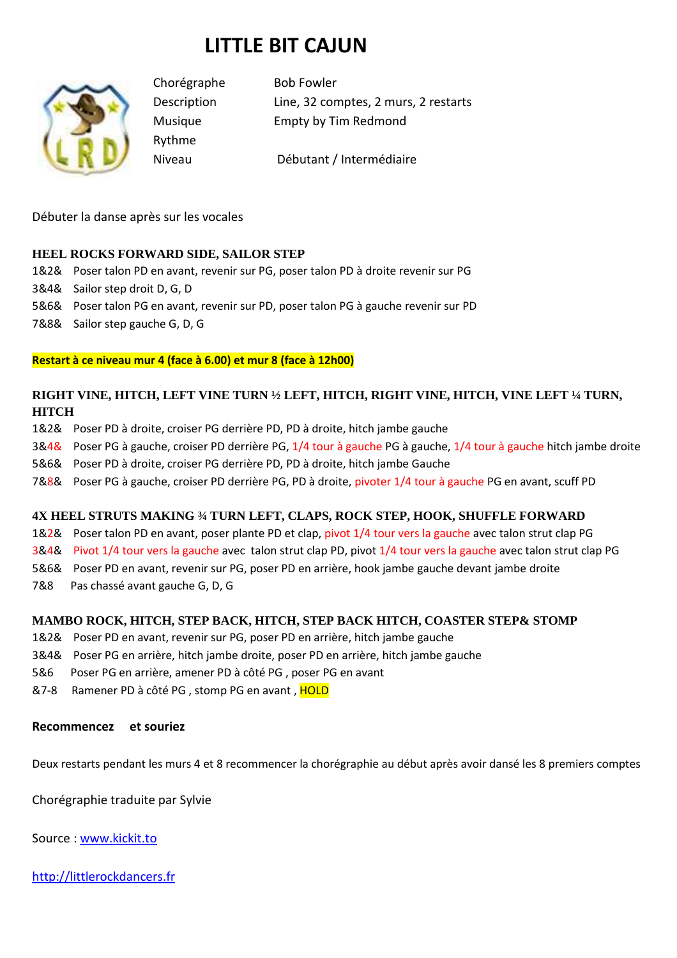# **LITTLE BIT CAJUN**



Rythme

Chorégraphe Bob Fowler Description Line, 32 comptes, 2 murs, 2 restarts Musique Empty by Tim Redmond

Niveau Débutant / Intermédiaire

Débuter la danse après sur les vocales

### **HEEL ROCKS FORWARD SIDE, SAILOR STEP**

- 1&2& Poser talon PD en avant, revenir sur PG, poser talon PD à droite revenir sur PG
- 3&4& Sailor step droit D, G, D
- 5&6& Poser talon PG en avant, revenir sur PD, poser talon PG à gauche revenir sur PD
- 7&8& Sailor step gauche G, D, G

### **Restart à ce niveau mur 4 (face à 6.00) et mur 8 (face à 12h00)**

# **RIGHT VINE, HITCH, LEFT VINE TURN ½ LEFT, HITCH, RIGHT VINE, HITCH, VINE LEFT ¼ TURN, HITCH**

- 1&2& Poser PD à droite, croiser PG derrière PD, PD à droite, hitch jambe gauche
- 3&4& Poser PG à gauche, croiser PD derrière PG, 1/4 tour à gauche PG à gauche, 1/4 tour à gauche hitch jambe droite
- 5&6& Poser PD à droite, croiser PG derrière PD, PD à droite, hitch jambe Gauche
- 7&8& Poser PG à gauche, croiser PD derrière PG, PD à droite, pivoter 1/4 tour à gauche PG en avant, scuff PD

### **4X HEEL STRUTS MAKING ¾ TURN LEFT, CLAPS, ROCK STEP, HOOK, SHUFFLE FORWARD**

- 1&2& Poser talon PD en avant, poser plante PD et clap, pivot 1/4 tour vers la gauche avec talon strut clap PG
- 3&4& Pivot 1/4 tour vers la gauche avec talon strut clap PD, pivot 1/4 tour vers la gauche avec talon strut clap PG
- 5&6& Poser PD en avant, revenir sur PG, poser PD en arrière, hook jambe gauche devant jambe droite
- 7&8 Pas chassé avant gauche G, D, G

### **MAMBO ROCK, HITCH, STEP BACK, HITCH, STEP BACK HITCH, COASTER STEP& STOMP**

- 1&2& Poser PD en avant, revenir sur PG, poser PD en arrière, hitch jambe gauche
- 3&4& Poser PG en arrière, hitch jambe droite, poser PD en arrière, hitch jambe gauche
- 5&6 Poser PG en arrière, amener PD à côté PG , poser PG en avant
- &7-8 Ramener PD à côté PG, stomp PG en avant, HOLD

### **Recommencez et souriez**

Deux restarts pendant les murs 4 et 8 recommencer la chorégraphie au début après avoir dansé les 8 premiers comptes

Chorégraphie traduite par Sylvie

Source : www.kickit.to

http://littlerockdancers.fr